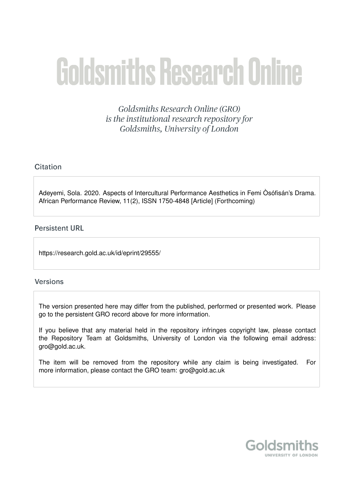# **Goldsmiths Research Online**

**Goldsmiths Research Online (GRO)** is the institutional research repository for Goldsmiths, University of London

# Citation

Adeyemi, Sola. 2020. Aspects of Intercultural Performance Aesthetics in Femi Òsófisán's Drama. African Performance Review, 11(2), ISSN 1750-4848 [Article] (Forthcoming)

# **Persistent URL**

https://research.gold.ac.uk/id/eprint/29555/

# **Versions**

The version presented here may differ from the published, performed or presented work. Please go to the persistent GRO record above for more information.

If you believe that any material held in the repository infringes copyright law, please contact the Repository Team at Goldsmiths, University of London via the following email address: gro@gold.ac.uk.

The item will be removed from the repository while any claim is being investigated. For more information, please contact the GRO team: gro@gold.ac.uk

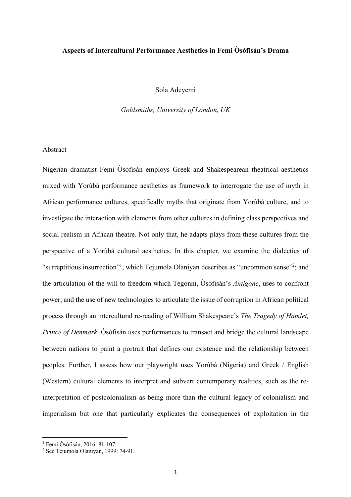## **Aspects of Intercultural Performance Aesthetics in Femi Òsófisán's Drama**

Sola Adeyemi

*Goldsmiths, University of London, UK*

## Abstract

Nigerian dramatist Femi Òsófisán employs Greek and Shakespearean theatrical aesthetics mixed with Yorùbá performance aesthetics as framework to interrogate the use of myth in African performance cultures, specifically myths that originate from Yorùbá culture, and to investigate the interaction with elements from other cultures in defining class perspectives and social realism in African theatre. Not only that, he adapts plays from these cultures from the perspective of a Yorùbá cultural aesthetics. In this chapter, we examine the dialectics of "surreptitious insurrection"<sup>1</sup>, which Tejumola Olaniyan describes as "uncommon sense"<sup>2</sup>; and the articulation of the will to freedom which Tegonni, Òsófisán's *Antigone*, uses to confront power; and the use of new technologies to articulate the issue of corruption in African political process through an intercultural re-reading of William Shakespeare's *The Tragedy of Hamlet, Prince of Denmark*. Òsófisán uses performances to transact and bridge the cultural landscape between nations to paint a portrait that defines our existence and the relationship between peoples. Further, I assess how our playwright uses Yorùbá (Nigeria) and Greek / English (Western) cultural elements to interpret and subvert contemporary realities, such as the reinterpretation of postcolonialism as being more than the cultural legacy of colonialism and imperialism but one that particularly explicates the consequences of exploitation in the

<sup>1</sup> Femi Òsófisán, 2016: 81-107.

<sup>2</sup> See Tejumola Olaniyan, 1999: 74-91.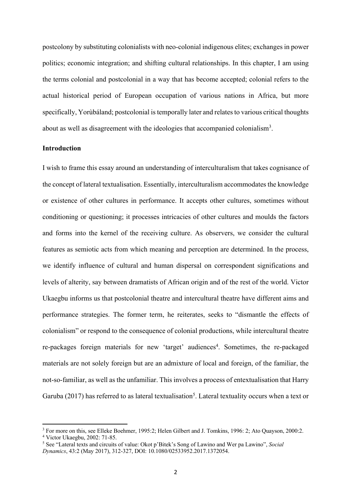postcolony by substituting colonialists with neo-colonial indigenous elites; exchanges in power politics; economic integration; and shifting cultural relationships. In this chapter, I am using the terms colonial and postcolonial in a way that has become accepted; colonial refers to the actual historical period of European occupation of various nations in Africa, but more specifically, Yorùbáland; postcolonial is temporally later and relates to various critical thoughts about as well as disagreement with the ideologies that accompanied colonialism<sup>3</sup>.

## **Introduction**

I wish to frame this essay around an understanding of interculturalism that takes cognisance of the concept of lateral textualisation. Essentially, interculturalism accommodates the knowledge or existence of other cultures in performance. It accepts other cultures, sometimes without conditioning or questioning; it processes intricacies of other cultures and moulds the factors and forms into the kernel of the receiving culture. As observers, we consider the cultural features as semiotic acts from which meaning and perception are determined. In the process, we identify influence of cultural and human dispersal on correspondent significations and levels of alterity, say between dramatists of African origin and of the rest of the world. Victor Ukaegbu informs us that postcolonial theatre and intercultural theatre have different aims and performance strategies. The former term, he reiterates, seeks to "dismantle the effects of colonialism" or respond to the consequence of colonial productions, while intercultural theatre re-packages foreign materials for new 'target' audiences<sup>4</sup>. Sometimes, the re-packaged materials are not solely foreign but are an admixture of local and foreign, of the familiar, the not-so-familiar, as well as the unfamiliar. This involves a process of entextualisation that Harry Garuba (2017) has referred to as lateral textualisation<sup>5</sup>. Lateral textuality occurs when a text or

<sup>&</sup>lt;sup>3</sup> For more on this, see Elleke Boehmer, 1995:2; Helen Gilbert and J. Tomkins, 1996: 2; Ato Quayson, 2000:2. <sup>4</sup> Victor Ukaegbu, 2002: 71-85.

<sup>5</sup> See "Lateral texts and circuits of value: Okot p'Bitek's Song of Lawino and Wer pa Lawino", *Social Dynamics*, 43:2 (May 2017), 312-327, DOI: 10.1080/02533952.2017.1372054.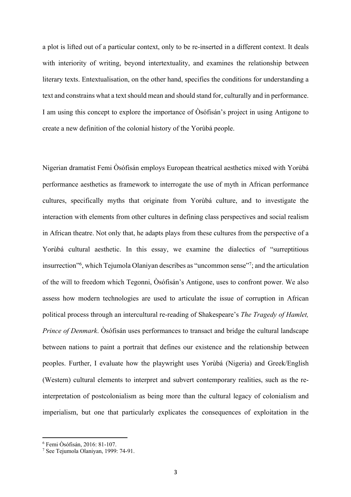a plot is lifted out of a particular context, only to be re-inserted in a different context. It deals with interiority of writing, beyond intertextuality, and examines the relationship between literary texts. Entextualisation, on the other hand, specifies the conditions for understanding a text and constrains what a text should mean and should stand for, culturally and in performance. I am using this concept to explore the importance of Òsófisán's project in using Antigone to create a new definition of the colonial history of the Yorùbá people.

Nigerian dramatist Femi Òsófisán employs European theatrical aesthetics mixed with Yorùbá performance aesthetics as framework to interrogate the use of myth in African performance cultures, specifically myths that originate from Yorùbá culture, and to investigate the interaction with elements from other cultures in defining class perspectives and social realism in African theatre. Not only that, he adapts plays from these cultures from the perspective of a Yorùbá cultural aesthetic. In this essay, we examine the dialectics of "surreptitious insurrection"<sup>6</sup>, which Tejumola Olaniyan describes as "uncommon sense"<sup>7</sup>; and the articulation of the will to freedom which Tegonni, Òsófisán's Antigone, uses to confront power. We also assess how modern technologies are used to articulate the issue of corruption in African political process through an intercultural re-reading of Shakespeare's *The Tragedy of Hamlet, Prince of Denmark*. Òsófisán uses performances to transact and bridge the cultural landscape between nations to paint a portrait that defines our existence and the relationship between peoples. Further, I evaluate how the playwright uses Yorùbá (Nigeria) and Greek/English (Western) cultural elements to interpret and subvert contemporary realities, such as the reinterpretation of postcolonialism as being more than the cultural legacy of colonialism and imperialism, but one that particularly explicates the consequences of exploitation in the

<sup>6</sup> Femi Òsófisán, 2016: 81-107.

<sup>7</sup> See Tejumola Olaniyan, 1999: 74-91.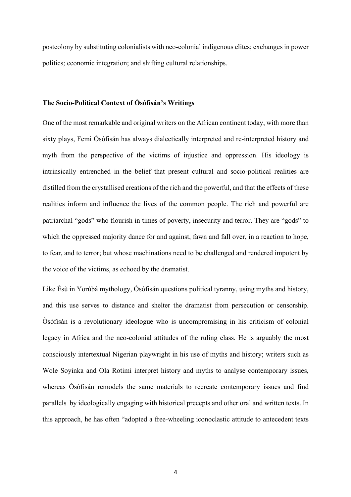postcolony by substituting colonialists with neo-colonial indigenous elites; exchanges in power politics; economic integration; and shifting cultural relationships.

#### **The Socio-Political Context of Òsófisán's Writings**

One of the most remarkable and original writers on the African continent today, with more than sixty plays, Femi Òsófisán has always dialectically interpreted and re-interpreted history and myth from the perspective of the victims of injustice and oppression. His ideology is intrinsically entrenched in the belief that present cultural and socio-political realities are distilled from the crystallised creations of the rich and the powerful, and that the effects of these realities inform and influence the lives of the common people. The rich and powerful are patriarchal "gods" who flourish in times of poverty, insecurity and terror. They are "gods" to which the oppressed majority dance for and against, fawn and fall over, in a reaction to hope, to fear, and to terror; but whose machinations need to be challenged and rendered impotent by the voice of the victims, as echoed by the dramatist.

Like Èsù in Yorùbá mythology, Òsófisán questions political tyranny, using myths and history, and this use serves to distance and shelter the dramatist from persecution or censorship. Òsófisán is a revolutionary ideologue who is uncompromising in his criticism of colonial legacy in Africa and the neo-colonial attitudes of the ruling class. He is arguably the most consciously intertextual Nigerian playwright in his use of myths and history; writers such as Wole Soyinka and Ola Rotimi interpret history and myths to analyse contemporary issues, whereas Òsófisán remodels the same materials to recreate contemporary issues and find parallels by ideologically engaging with historical precepts and other oral and written texts. In this approach, he has often "adopted a free-wheeling iconoclastic attitude to antecedent texts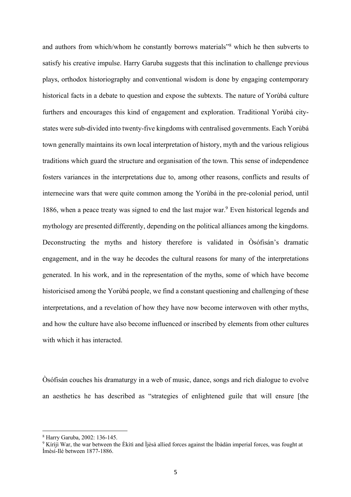and authors from which/whom he constantly borrows materials"8 which he then subverts to satisfy his creative impulse. Harry Garuba suggests that this inclination to challenge previous plays, orthodox historiography and conventional wisdom is done by engaging contemporary historical facts in a debate to question and expose the subtexts. The nature of Yorùbá culture furthers and encourages this kind of engagement and exploration. Traditional Yorùbá citystates were sub-divided into twenty-five kingdoms with centralised governments. Each Yorùbá town generally maintains its own local interpretation of history, myth and the various religious traditions which guard the structure and organisation of the town. This sense of independence fosters variances in the interpretations due to, among other reasons, conflicts and results of internecine wars that were quite common among the Yorùbá in the pre-colonial period, until 1886, when a peace treaty was signed to end the last major war.<sup>9</sup> Even historical legends and mythology are presented differently, depending on the political alliances among the kingdoms. Deconstructing the myths and history therefore is validated in Òsófisán's dramatic engagement, and in the way he decodes the cultural reasons for many of the interpretations generated. In his work, and in the representation of the myths, some of which have become historicised among the Yorùbá people, we find a constant questioning and challenging of these interpretations, and a revelation of how they have now become interwoven with other myths, and how the culture have also become influenced or inscribed by elements from other cultures with which it has interacted.

Òsófisán couches his dramaturgy in a web of music, dance, songs and rich dialogue to evolve an aesthetics he has described as "strategies of enlightened guile that will ensure [the

<sup>8</sup> Harry Garuba, 2002: 136-145.

<sup>&</sup>lt;sup>9</sup> Kírìjì War, the war between the Èkìtì and Ìjèsà allied forces against the Ìbàdàn imperial forces, was fought at Ìmèsí-Ilé between 1877-1886.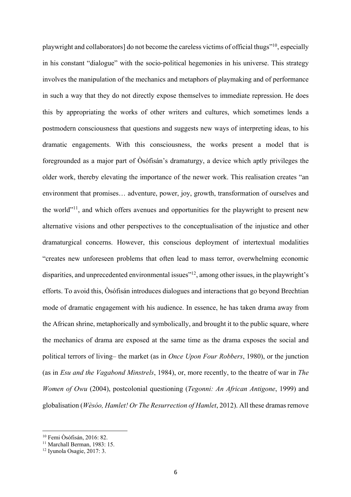playwright and collaborators] do not become the careless victims of official thugs"10, especially in his constant "dialogue" with the socio-political hegemonies in his universe. This strategy involves the manipulation of the mechanics and metaphors of playmaking and of performance in such a way that they do not directly expose themselves to immediate repression. He does this by appropriating the works of other writers and cultures, which sometimes lends a postmodern consciousness that questions and suggests new ways of interpreting ideas, to his dramatic engagements. With this consciousness, the works present a model that is foregrounded as a major part of Òsófisán's dramaturgy, a device which aptly privileges the older work, thereby elevating the importance of the newer work. This realisation creates "an environment that promises… adventure, power, joy, growth, transformation of ourselves and the world"<sup>11</sup>, and which offers avenues and opportunities for the playwright to present new alternative visions and other perspectives to the conceptualisation of the injustice and other dramaturgical concerns. However, this conscious deployment of intertextual modalities "creates new unforeseen problems that often lead to mass terror, overwhelming economic disparities, and unprecedented environmental issues<sup>"12</sup>, among other issues, in the playwright's efforts. To avoid this, Òsófisán introduces dialogues and interactions that go beyond Brechtian mode of dramatic engagement with his audience. In essence, he has taken drama away from the African shrine, metaphorically and symbolically, and brought it to the public square, where the mechanics of drama are exposed at the same time as the drama exposes the social and political terrors of living– the market (as in *Once Upon Four Robbers*, 1980), or the junction (as in *Esu and the Vagabond Minstrels*, 1984), or, more recently, to the theatre of war in *The Women of Owu* (2004), postcolonial questioning (*Tegonni: An African Antigone*, 1999) and globalisation (*Wèsóo, Hamlet! Or The Resurrection of Hamlet*, 2012). All these dramas remove

<sup>10</sup> Femi Òsófisán, 2016: 82.

<sup>&</sup>lt;sup>11</sup> Marchall Berman, 1983: 15.

<sup>12</sup> Iyunola Osagie, 2017: 3.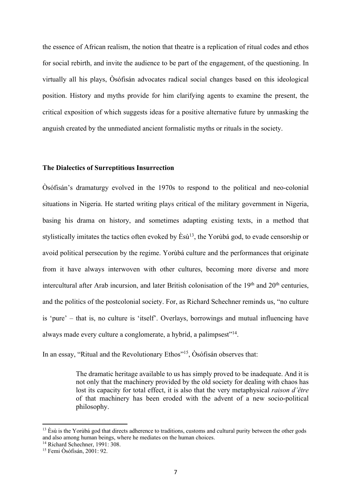the essence of African realism, the notion that theatre is a replication of ritual codes and ethos for social rebirth, and invite the audience to be part of the engagement, of the questioning. In virtually all his plays, Òsófisán advocates radical social changes based on this ideological position. History and myths provide for him clarifying agents to examine the present, the critical exposition of which suggests ideas for a positive alternative future by unmasking the anguish created by the unmediated ancient formalistic myths or rituals in the society.

## **The Dialectics of Surreptitious Insurrection**

Òsófisán's dramaturgy evolved in the 1970s to respond to the political and neo-colonial situations in Nigeria. He started writing plays critical of the military government in Nigeria, basing his drama on history, and sometimes adapting existing texts, in a method that stylistically imitates the tactics often evoked by  $\hat{E} s \hat{u}^{13}$ , the Yorùbá god, to evade censorship or avoid political persecution by the regime. Yorùbá culture and the performances that originate from it have always interwoven with other cultures, becoming more diverse and more intercultural after Arab incursion, and later British colonisation of the  $19<sup>th</sup>$  and  $20<sup>th</sup>$  centuries, and the politics of the postcolonial society. For, as Richard Schechner reminds us, "no culture is 'pure' – that is, no culture is 'itself'. Overlays, borrowings and mutual influencing have always made every culture a conglomerate, a hybrid, a palimpsest"<sup>14</sup>.

In an essay, "Ritual and the Revolutionary Ethos"<sup>15</sup>, Òsófisán observes that:

The dramatic heritage available to us has simply proved to be inadequate. And it is not only that the machinery provided by the old society for dealing with chaos has lost its capacity for total effect, it is also that the very metaphysical *raison d'être* of that machinery has been eroded with the advent of a new socio-political philosophy.

 $13 \text{ }$  Esù is the Yorùbá god that directs adherence to traditions, customs and cultural purity between the other gods and also among human beings, where he mediates on the human choices.

<sup>14</sup> Richard Schechner, 1991: 308.

<sup>15</sup> Femi Òsófisán, 2001: 92.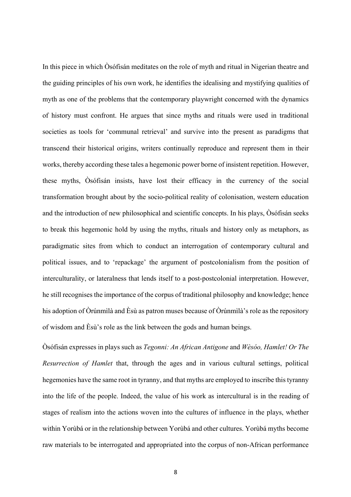In this piece in which Òsófisán meditates on the role of myth and ritual in Nigerian theatre and the guiding principles of his own work, he identifies the idealising and mystifying qualities of myth as one of the problems that the contemporary playwright concerned with the dynamics of history must confront. He argues that since myths and rituals were used in traditional societies as tools for 'communal retrieval' and survive into the present as paradigms that transcend their historical origins, writers continually reproduce and represent them in their works, thereby according these tales a hegemonic power borne of insistent repetition. However, these myths, Òsófisán insists, have lost their efficacy in the currency of the social transformation brought about by the socio-political reality of colonisation, western education and the introduction of new philosophical and scientific concepts. In his plays, Òsófisán seeks to break this hegemonic hold by using the myths, rituals and history only as metaphors, as paradigmatic sites from which to conduct an interrogation of contemporary cultural and political issues, and to 'repackage' the argument of postcolonialism from the position of interculturality, or lateralness that lends itself to a post-postcolonial interpretation. However, he still recognises the importance of the corpus of traditional philosophy and knowledge; hence his adoption of Òrúnmìlà and Èsù as patron muses because of Òrúnmìlà's role as the repository of wisdom and Èsù's role as the link between the gods and human beings.

Òsófisán expresses in plays such as *Tegonni: An African Antigone* and *Wèsóo, Hamlet! Or The Resurrection of Hamlet* that, through the ages and in various cultural settings, political hegemonies have the same root in tyranny, and that myths are employed to inscribe this tyranny into the life of the people. Indeed, the value of his work as intercultural is in the reading of stages of realism into the actions woven into the cultures of influence in the plays, whether within Yorùbá or in the relationship between Yorùbá and other cultures. Yorùbá myths become raw materials to be interrogated and appropriated into the corpus of non-African performance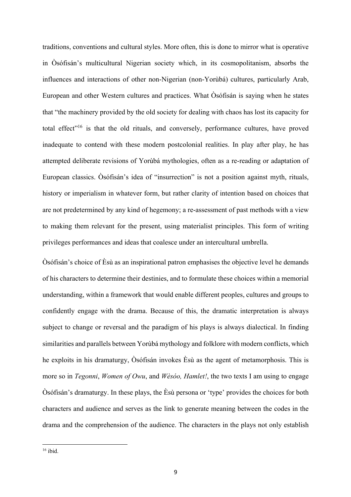traditions, conventions and cultural styles. More often, this is done to mirror what is operative in Òsófisán's multicultural Nigerian society which, in its cosmopolitanism, absorbs the influences and interactions of other non-Nigerian (non-Yorùbá) cultures, particularly Arab, European and other Western cultures and practices. What Òsófisán is saying when he states that "the machinery provided by the old society for dealing with chaos has lost its capacity for total effect"16 is that the old rituals, and conversely, performance cultures, have proved inadequate to contend with these modern postcolonial realities. In play after play, he has attempted deliberate revisions of Yorùbá mythologies, often as a re-reading or adaptation of European classics. Òsófisán's idea of "insurrection" is not a position against myth, rituals, history or imperialism in whatever form, but rather clarity of intention based on choices that are not predetermined by any kind of hegemony; a re-assessment of past methods with a view to making them relevant for the present, using materialist principles. This form of writing privileges performances and ideas that coalesce under an intercultural umbrella.

Òsófisán's choice of Èsù as an inspirational patron emphasises the objective level he demands of his characters to determine their destinies, and to formulate these choices within a memorial understanding, within a framework that would enable different peoples, cultures and groups to confidently engage with the drama. Because of this, the dramatic interpretation is always subject to change or reversal and the paradigm of his plays is always dialectical. In finding similarities and parallels between Yorùbá mythology and folklore with modern conflicts, which he exploits in his dramaturgy, Òsófisán invokes Èsù as the agent of metamorphosis. This is more so in *Tegonni*, *Women of Owu*, and *Wèsóo, Hamlet!*, the two texts I am using to engage Òsófisán's dramaturgy. In these plays, the Èsù persona or 'type' provides the choices for both characters and audience and serves as the link to generate meaning between the codes in the drama and the comprehension of the audience. The characters in the plays not only establish

 $16$  ibid.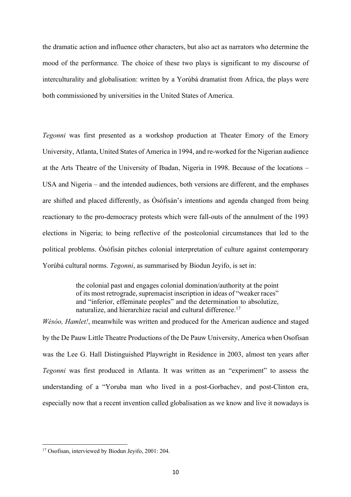the dramatic action and influence other characters, but also act as narrators who determine the mood of the performance. The choice of these two plays is significant to my discourse of interculturality and globalisation: written by a Yorùbá dramatist from Africa, the plays were both commissioned by universities in the United States of America.

*Tegonni* was first presented as a workshop production at Theater Emory of the Emory University, Atlanta, United States of America in 1994, and re-worked for the Nigerian audience at the Arts Theatre of the University of Ibadan, Nigeria in 1998. Because of the locations – USA and Nigeria – and the intended audiences, both versions are different, and the emphases are shifted and placed differently, as Òsófisán's intentions and agenda changed from being reactionary to the pro-democracy protests which were fall-outs of the annulment of the 1993 elections in Nigeria; to being reflective of the postcolonial circumstances that led to the political problems. Òsófisán pitches colonial interpretation of culture against contemporary Yorùbá cultural norms. *Tegonni*, as summarised by Biodun Jeyifo, is set in:

> the colonial past and engages colonial domination/authority at the point of its most retrograde, supremacist inscription in ideas of "weaker races" and "inferior, effeminate peoples" and the determination to absolutize, naturalize, and hierarchize racial and cultural difference.<sup>17</sup>

*Wèsóo, Hamlet!*, meanwhile was written and produced for the American audience and staged by the De Pauw Little Theatre Productions of the De Pauw University, America when Osofisan was the Lee G. Hall Distinguished Playwright in Residence in 2003, almost ten years after *Tegonni* was first produced in Atlanta. It was written as an "experiment" to assess the understanding of a "Yoruba man who lived in a post-Gorbachev, and post-Clinton era, especially now that a recent invention called globalisation as we know and live it nowadays is

<sup>&</sup>lt;sup>17</sup> Osofisan, interviewed by Biodun Jeyifo, 2001: 204.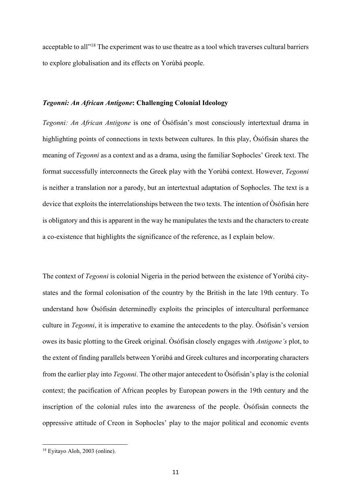acceptable to all"18 The experiment was to use theatre as a tool which traverses cultural barriers to explore globalisation and its effects on Yorùbá people.

#### *Tegonni: An African Antigone***: Challenging Colonial Ideology**

*Tegonni: An African Antigone* is one of Òsófisán's most consciously intertextual drama in highlighting points of connections in texts between cultures. In this play, Osófisán shares the meaning of *Tegonni* as a context and as a drama, using the familiar Sophocles' Greek text. The format successfully interconnects the Greek play with the Yorùbá context. However, *Tegonni* is neither a translation nor a parody, but an intertextual adaptation of Sophocles. The text is a device that exploits the interrelationships between the two texts. The intention of Òsófisán here is obligatory and this is apparent in the way he manipulates the texts and the characters to create a co-existence that highlights the significance of the reference, as I explain below.

The context of *Tegonni* is colonial Nigeria in the period between the existence of Yorùbá citystates and the formal colonisation of the country by the British in the late 19th century. To understand how Òsófisán determinedly exploits the principles of intercultural performance culture in *Tegonni*, it is imperative to examine the antecedents to the play. Òsófisán's version owes its basic plotting to the Greek original. Òsófisán closely engages with *Antigone's* plot, to the extent of finding parallels between Yorùbá and Greek cultures and incorporating characters from the earlier play into *Tegonni*. The other major antecedent to Òsófisán's play is the colonial context; the pacification of African peoples by European powers in the 19th century and the inscription of the colonial rules into the awareness of the people. Òsófisán connects the oppressive attitude of Creon in Sophocles' play to the major political and economic events

<sup>18</sup> Eyitayo Aloh, 2003 (online).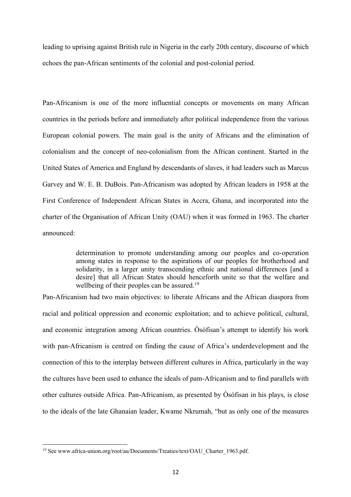leading to uprising against British rule in Nigeria in the early 20th century, discourse of which echoes the pan-African sentiments of the colonial and post-colonial period.

Pan-Africanism is one of the more influential concepts or movements on many African countries in the periods before and immediately after political independence from the various European colonial powers. The main goal is the unity of Africans and the elimination of colonialism and the concept of neo-colonialism from the African continent. Started in the United States of America and England by descendants of slaves, it had leaders such as Marcus Garvey and W. E. B. DuBois. Pan-Africanism was adopted by African leaders in 1958 at the First Conference of Independent African States in Accra, Ghana, and incorporated into the charter of the Organisation of African Unity (OAU) when it was formed in 1963. The charter announced:

> determination to promote understanding among our peoples and co-operation among states in response to the aspirations of our peoples for brotherhood and solidarity, in a larger unity transcending ethnic and national differences [and a desire] that all African States should henceforth unite so that the welfare and wellbeing of their peoples can be assured.<sup>19</sup>

Pan-Africanism had two main objectives: to liberate Africans and the African diaspora from racial and political oppression and economic exploitation; and to achieve political, cultural, and economic integration among African countries. Òsófisan's attempt to identify his work with pan-Africanism is centred on finding the cause of Africa's underdevelopment and the connection of this to the interplay between different cultures in Africa, particularly in the way the cultures have been used to enhance the ideals of pam-Africanism and to find parallels with other cultures outside Africa. Pan-Africanism, as presented by Òsófisan in his plays, is close to the ideals of the late Ghanaian leader, Kwame Nkrumah, "but as only one of the measures

<sup>&</sup>lt;sup>19</sup> See www.africa-union.org/root/au/Documents/Treaties/text/OAU\_Charter\_1963.pdf.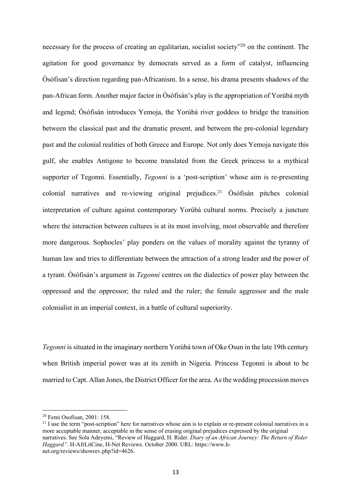necessary for the process of creating an egalitarian, socialist society<sup>320</sup> on the continent. The agitation for good governance by democrats served as a form of catalyst, influencing Òsófisan's direction regarding pan-Africanism. In a sense, his drama presents shadows of the pan-African form. Another major factor in Òsófisán's play is the appropriation of Yorùbá myth and legend; Òsófisán introduces Yemoja, the Yorùbá river goddess to bridge the transition between the classical past and the dramatic present, and between the pre-colonial legendary past and the colonial realities of both Greece and Europe. Not only does Yemoja navigate this gulf, she enables Antigone to become translated from the Greek princess to a mythical supporter of Tegonni. Essentially, *Tegonni* is a 'post-scription' whose aim is re-presenting colonial narratives and re-viewing original prejudices.<sup>21</sup>  $\dot{\text{Os}}$  of is colonial interpretation of culture against contemporary Yorùbá cultural norms. Precisely a juncture where the interaction between cultures is at its most involving, most observable and therefore more dangerous. Sophocles' play ponders on the values of morality against the tyranny of human law and tries to differentiate between the attraction of a strong leader and the power of a tyrant. Òsófisán's argument in *Tegonni* centres on the dialectics of power play between the oppressed and the oppressor; the ruled and the ruler; the female aggressor and the male colonialist in an imperial context, in a battle of cultural superiority.

*Tegonni* is situated in the imaginary northern Yorùbá town of Oke Osun in the late 19th century when British imperial power was at its zenith in Nigeria. Princess Tegonni is about to be married to Capt. Allan Jones, the District Officer for the area. As the wedding procession moves

<sup>20</sup> Femi Osofisan, 2001: 158.

 $^{21}$  I use the term "post-scription" here for narratives whose aim is to explain or re-present colonial narratives in a more acceptable manner, acceptable in the sense of erasing original prejudices expressed by the original narratives. See Sola Adeyemi, "Review of Haggard, H. Rider. *Diary of an African Journey: The Return of Rider Haggard"*. H-AfrLitCine, H-Net Reviews. October 2000. URL: https://www.hnet.org/reviews/showrev.php?id=4626.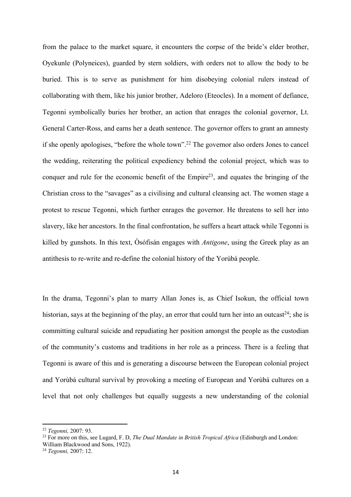from the palace to the market square, it encounters the corpse of the bride's elder brother, Oyekunle (Polyneices), guarded by stern soldiers, with orders not to allow the body to be buried. This is to serve as punishment for him disobeying colonial rulers instead of collaborating with them, like his junior brother, Adeloro (Eteocles). In a moment of defiance, Tegonni symbolically buries her brother, an action that enrages the colonial governor, Lt. General Carter-Ross, and earns her a death sentence. The governor offers to grant an amnesty if she openly apologises, "before the whole town".22 The governor also orders Jones to cancel the wedding, reiterating the political expediency behind the colonial project, which was to conquer and rule for the economic benefit of the  $Empire^{23}$ , and equates the bringing of the Christian cross to the "savages" as a civilising and cultural cleansing act. The women stage a protest to rescue Tegonni, which further enrages the governor. He threatens to sell her into slavery, like her ancestors. In the final confrontation, he suffers a heart attack while Tegonni is killed by gunshots. In this text, Òsófisán engages with *Antigone*, using the Greek play as an antithesis to re-write and re-define the colonial history of the Yorùbá people.

In the drama, Tegonni's plan to marry Allan Jones is, as Chief Isokun, the official town historian, says at the beginning of the play, an error that could turn her into an outcast<sup>24</sup>; she is committing cultural suicide and repudiating her position amongst the people as the custodian of the community's customs and traditions in her role as a princess. There is a feeling that Tegonni is aware of this and is generating a discourse between the European colonial project and Yorùbá cultural survival by provoking a meeting of European and Yorùbá cultures on a level that not only challenges but equally suggests a new understanding of the colonial

<sup>22</sup> *Tegonni,* 2007: 93.

<sup>23</sup> For more on this, see Lugard, F. D, *The Dual Mandate in British Tropical Africa* (Edinburgh and London:

William Blackwood and Sons, 1922).

<sup>24</sup> *Tegonni,* 2007: 12.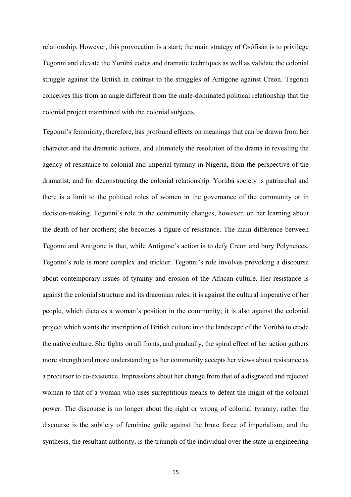relationship. However, this provocation is a start; the main strategy of Òsófisán is to privilege Tegonni and elevate the Yorùbá codes and dramatic techniques as well as validate the colonial struggle against the British in contrast to the struggles of Antigone against Creon. Tegonni conceives this from an angle different from the male-dominated political relationship that the colonial project maintained with the colonial subjects.

Tegonni's femininity, therefore, has profound effects on meanings that can be drawn from her character and the dramatic actions, and ultimately the resolution of the drama in revealing the agency of resistance to colonial and imperial tyranny in Nigeria, from the perspective of the dramatist, and for deconstructing the colonial relationship. Yorùbá society is patriarchal and there is a limit to the political roles of women in the governance of the community or in decision-making. Tegonni's role in the community changes, however, on her learning about the death of her brothers; she becomes a figure of resistance. The main difference between Tegonni and Antigone is that, while Antigone's action is to defy Creon and bury Polyneices, Tegonni's role is more complex and trickier. Tegonni's role involves provoking a discourse about contemporary issues of tyranny and erosion of the African culture. Her resistance is against the colonial structure and its draconian rules; it is against the cultural imperative of her people, which dictates a woman's position in the community; it is also against the colonial project which wants the inscription of British culture into the landscape of the Yorùbá to erode the native culture. She fights on all fronts, and gradually, the spiral effect of her action gathers more strength and more understanding as her community accepts her views about resistance as a precursor to co-existence. Impressions about her change from that of a disgraced and rejected woman to that of a woman who uses surreptitious means to defeat the might of the colonial power. The discourse is no longer about the right or wrong of colonial tyranny; rather the discourse is the subtlety of feminine guile against the brute force of imperialism; and the synthesis, the resultant authority, is the triumph of the individual over the state in engineering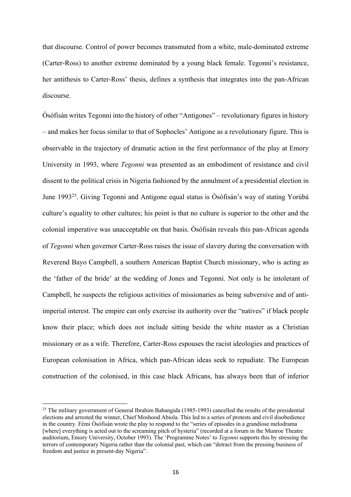that discourse. Control of power becomes transmuted from a white, male-dominated extreme (Carter-Ross) to another extreme dominated by a young black female. Tegonni's resistance, her antithesis to Carter-Ross' thesis, defines a synthesis that integrates into the pan-African discourse.

Òsófisán writes Tegonni into the history of other "Antigones" – revolutionary figures in history – and makes her focus similar to that of Sophocles' Antigone as a revolutionary figure. This is observable in the trajectory of dramatic action in the first performance of the play at Emory University in 1993, where *Tegonni* was presented as an embodiment of resistance and civil dissent to the political crisis in Nigeria fashioned by the annulment of a presidential election in June 199325. Giving Tegonni and Antigone equal status is Òsófisán's way of stating Yorùbá culture's equality to other cultures; his point is that no culture is superior to the other and the colonial imperative was unacceptable on that basis. Òsófisán reveals this pan-African agenda of *Tegonni* when governor Carter-Ross raises the issue of slavery during the conversation with Reverend Bayo Campbell, a southern American Baptist Church missionary, who is acting as the 'father of the bride' at the wedding of Jones and Tegonni. Not only is he intolerant of Campbell, he suspects the religious activities of missionaries as being subversive and of antiimperial interest. The empire can only exercise its authority over the "natives" if black people know their place; which does not include sitting beside the white master as a Christian missionary or as a wife. Therefore, Carter-Ross espouses the racist ideologies and practices of European colonisation in Africa, which pan-African ideas seek to repudiate. The European construction of the colonised, in this case black Africans, has always been that of inferior

<sup>&</sup>lt;sup>25</sup> The military government of General Ibrahim Babangida (1985-1993) cancelled the results of the presidential elections and arrested the winner, Chief Moshood Abiola. This led to a series of protests and civil disobedience in the country. Fémi Òsófisán wrote the play to respond to the "series of episodes in a grandiose melodrama [where] everything is acted out to the screaming pitch of hysteria" (recorded at a forum in the Munroe Theatre auditorium, Emory University, October 1993). The 'Programme Notes' to *Tegonni* supports this by stressing the terrors of contemporary Nigeria rather than the colonial past, which can "detract from the pressing business of freedom and justice in present-day Nigeria".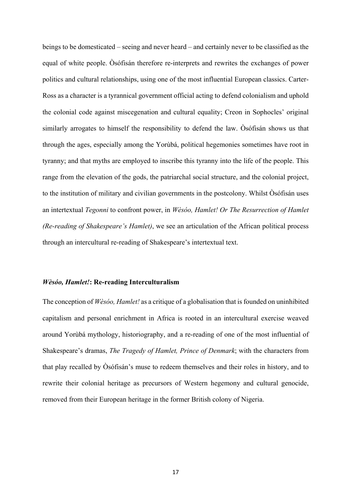beings to be domesticated – seeing and never heard – and certainly never to be classified as the equal of white people. Òsófisán therefore re-interprets and rewrites the exchanges of power politics and cultural relationships, using one of the most influential European classics. Carter-Ross as a character is a tyrannical government official acting to defend colonialism and uphold the colonial code against miscegenation and cultural equality; Creon in Sophocles' original similarly arrogates to himself the responsibility to defend the law. Òsófisán shows us that through the ages, especially among the Yorùbá, political hegemonies sometimes have root in tyranny; and that myths are employed to inscribe this tyranny into the life of the people. This range from the elevation of the gods, the patriarchal social structure, and the colonial project, to the institution of military and civilian governments in the postcolony. Whilst Òsófisán uses an intertextual *Tegonni* to confront power, in *Wèsóo, Hamlet! Or The Resurrection of Hamlet (Re-reading of Shakespeare's Hamlet)*, we see an articulation of the African political process through an intercultural re-reading of Shakespeare's intertextual text.

#### *Wèsóo, Hamlet!***: Re-reading Interculturalism**

The conception of *Wèsóo, Hamlet!* as a critique of a globalisation that is founded on uninhibited capitalism and personal enrichment in Africa is rooted in an intercultural exercise weaved around Yorùbá mythology, historiography, and a re-reading of one of the most influential of Shakespeare's dramas, *The Tragedy of Hamlet, Prince of Denmark*; with the characters from that play recalled by Òsófisán's muse to redeem themselves and their roles in history, and to rewrite their colonial heritage as precursors of Western hegemony and cultural genocide, removed from their European heritage in the former British colony of Nigeria.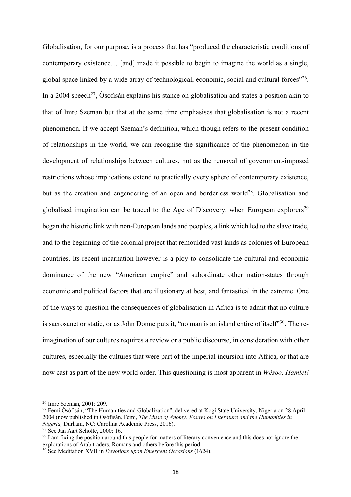Globalisation, for our purpose, is a process that has "produced the characteristic conditions of contemporary existence… [and] made it possible to begin to imagine the world as a single, global space linked by a wide array of technological, economic, social and cultural forces"26. In a 2004 speech<sup>27</sup>, Osófisán explains his stance on globalisation and states a position akin to that of Imre Szeman but that at the same time emphasises that globalisation is not a recent phenomenon. If we accept Szeman's definition, which though refers to the present condition of relationships in the world, we can recognise the significance of the phenomenon in the development of relationships between cultures, not as the removal of government-imposed restrictions whose implications extend to practically every sphere of contemporary existence, but as the creation and engendering of an open and borderless world<sup>28</sup>. Globalisation and globalised imagination can be traced to the Age of Discovery, when European explorers<sup>29</sup> began the historic link with non-European lands and peoples, a link which led to the slave trade, and to the beginning of the colonial project that remoulded vast lands as colonies of European countries. Its recent incarnation however is a ploy to consolidate the cultural and economic dominance of the new "American empire" and subordinate other nation-states through economic and political factors that are illusionary at best, and fantastical in the extreme. One of the ways to question the consequences of globalisation in Africa is to admit that no culture is sacrosanct or static, or as John Donne puts it, "no man is an island entire of itself"<sup>30</sup>. The reimagination of our cultures requires a review or a public discourse, in consideration with other cultures, especially the cultures that were part of the imperial incursion into Africa, or that are now cast as part of the new world order. This questioning is most apparent in *Wèsóo, Hamlet!*

 $28$  See Jan Aart Scholte, 2000: 16.

<sup>26</sup> Imre Szeman, 2001: 209.

<sup>&</sup>lt;sup>27</sup> Femi Òsófisán, "The Humanities and Globalization", delivered at Kogi State University, Nigeria on 28 April 2004 (now published in Òsófisán, Femi, *The Muse of Anomy: Essays on Literature and the Humanities in Nigeria,* Durham, NC: Carolina Academic Press, 2016).

<sup>&</sup>lt;sup>29</sup> I am fixing the position around this people for matters of literary convenience and this does not ignore the explorations of Arab traders, Romans and others before this period.

<sup>30</sup> See Meditation XVII in *Devotions upon Emergent Occasions* (1624).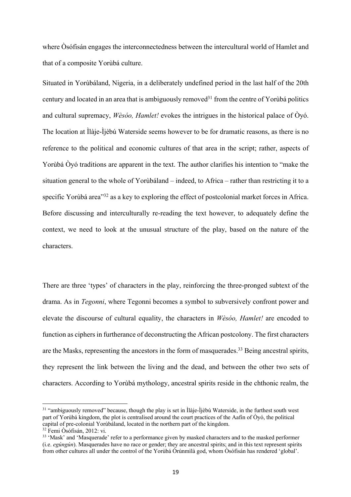where Òsófisán engages the interconnectedness between the intercultural world of Hamlet and that of a composite Yorùbá culture.

Situated in Yorùbáland, Nigeria, in a deliberately undefined period in the last half of the 20th century and located in an area that is ambiguously removed<sup>31</sup> from the centre of Yorùbá politics and cultural supremacy, *Wèsóo, Hamlet!* evokes the intrigues in the historical palace of Òyó. The location at Ìlàje-Ìjèbú Waterside seems however to be for dramatic reasons, as there is no reference to the political and economic cultures of that area in the script; rather, aspects of Yorùbá Òyó traditions are apparent in the text. The author clarifies his intention to "make the situation general to the whole of Yorùbáland – indeed, to Africa – rather than restricting it to a specific Yorùbá area<sup>332</sup> as a key to exploring the effect of postcolonial market forces in Africa. Before discussing and interculturally re-reading the text however, to adequately define the context, we need to look at the unusual structure of the play, based on the nature of the characters.

There are three 'types' of characters in the play, reinforcing the three-pronged subtext of the drama. As in *Tegonni*, where Tegonni becomes a symbol to subversively confront power and elevate the discourse of cultural equality, the characters in *Wèsóo, Hamlet!* are encoded to function as ciphers in furtherance of deconstructing the African postcolony. The first characters are the Masks, representing the ancestors in the form of masquerades.<sup>33</sup> Being ancestral spirits, they represent the link between the living and the dead, and between the other two sets of characters. According to Yorùbá mythology, ancestral spirits reside in the chthonic realm, the

<sup>&</sup>lt;sup>31</sup> "ambiguously removed" because, though the play is set in Ìlàje-Ìjèbú Waterside, in the furthest south west part of Yorùbá kingdom, the plot is centralised around the court practices of the Aafin of Òyó, the political capital of pre-colonial Yorùbáland, located in the northern part of the kingdom. <sup>32</sup> Femi Òsófisán, 2012: vi.

<sup>&</sup>lt;sup>33</sup> 'Mask' and 'Masquerade' refer to a performance given by masked characters and to the masked performer (i.e. *egúngún*). Masquerades have no race or gender; they are ancestral spirits; and in this text represent spirits from other cultures all under the control of the Yorùbá Òrúnmìlà god, whom Òsófisán has rendered 'global'.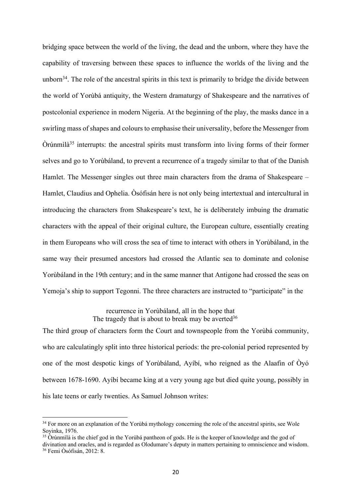bridging space between the world of the living, the dead and the unborn, where they have the capability of traversing between these spaces to influence the worlds of the living and the unborn<sup>34</sup>. The role of the ancestral spirits in this text is primarily to bridge the divide between the world of Yorùbá antiquity, the Western dramaturgy of Shakespeare and the narratives of postcolonial experience in modern Nigeria. At the beginning of the play, the masks dance in a swirling mass of shapes and colours to emphasise their universality, before the Messenger from Òrúnmìlà35 interrupts: the ancestral spirits must transform into living forms of their former selves and go to Yorùbáland, to prevent a recurrence of a tragedy similar to that of the Danish Hamlet. The Messenger singles out three main characters from the drama of Shakespeare – Hamlet, Claudius and Ophelia. Òsófisán here is not only being intertextual and intercultural in introducing the characters from Shakespeare's text, he is deliberately imbuing the dramatic characters with the appeal of their original culture, the European culture, essentially creating in them Europeans who will cross the sea of time to interact with others in Yorùbáland, in the same way their presumed ancestors had crossed the Atlantic sea to dominate and colonise Yorùbáland in the 19th century; and in the same manner that Antigone had crossed the seas on Yemoja's ship to support Tegonni. The three characters are instructed to "participate" in the

> recurrence in Yorùbáland, all in the hope that The tragedy that is about to break may be averted  $36$

The third group of characters form the Court and townspeople from the Yorùbá community, who are calculatingly split into three historical periods: the pre-colonial period represented by one of the most despotic kings of Yorùbáland, Ayíbí, who reigned as the Alaafin of Òyó between 1678-1690. Ayíbí became king at a very young age but died quite young, possibly in his late teens or early twenties. As Samuel Johnson writes:

<sup>&</sup>lt;sup>34</sup> For more on an explanation of the Yorùbá mythology concerning the role of the ancestral spirits, see Wole Soyinka, 1976.

<sup>&</sup>lt;sup>35</sup> Òrúnmìlà is the chief god in the Yorùbá pantheon of gods. He is the keeper of knowledge and the god of

divination and oracles, and is regarded as Olodumare's deputy in matters pertaining to omniscience and wisdom. <sup>36</sup> Femi Òsófisán, 2012: 8.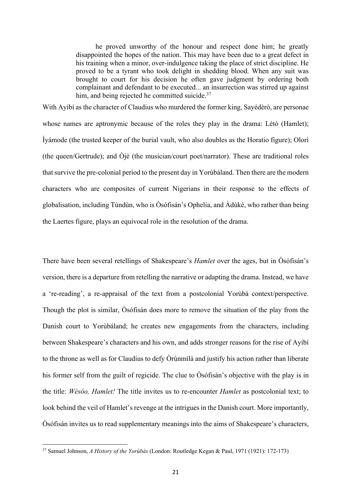he proved unworthy of the honour and respect done him; he greatly disappointed the hopes of the nation. This may have been due to a great defect in his training when a minor, over-indulgence taking the place of strict discipline. He proved to be a tyrant who took delight in shedding blood. When any suit was brought to court for his decision he often gave judgment by ordering both complainant and defendant to be executed... an insurrection was stirred up against him, and being rejected he committed suicide.<sup>37</sup>

With Ayíbí as the character of Claudius who murdered the former king, Sayédèrò, are personae whose names are aptronymic because of the roles they play in the drama: Létò (Hamlet); Ìyámode (the trusted keeper of the burial vault, who also doubles as the Horatio figure); Olorì (the queen/Gertrude); and Òjè (the musician/court poet/narrator). These are traditional roles that survive the pre-colonial period to the present day in Yorùbáland. Then there are the modern characters who are composites of current Nigerians in their response to the effects of globalisation, including Túndùn, who is Òsófisán's Ophelia, and Àdùké, who rather than being the Laertes figure, plays an equivocal role in the resolution of the drama.

There have been several retellings of Shakespeare's *Hamlet* over the ages, but in Òsófisán's version, there is a departure from retelling the narrative or adapting the drama. Instead, we have a 're-reading', a re-appraisal of the text from a postcolonial Yorùbá context/perspective. Though the plot is similar, Òsófisán does more to remove the situation of the play from the Danish court to Yorùbáland; he creates new engagements from the characters, including between Shakespeare's characters and his own, and adds stronger reasons for the rise of Ayíbí to the throne as well as for Claudius to defy Òrúnmìlà and justify his action rather than liberate his former self from the guilt of regicide. The clue to Òsófisán's objective with the play is in the title: *Wèsóo, Hamlet!* The title invites us to re-encounter *Hamlet* as postcolonial text; to look behind the veil of Hamlet's revenge at the intrigues in the Danish court. More importantly, Òsófisán invites us to read supplementary meanings into the aims of Shakespeare's characters,

<sup>37</sup> Samuel Johnson, *A History of the Yorùbás* (London: Routledge Kegan & Paul, 1971 (1921): 172-173)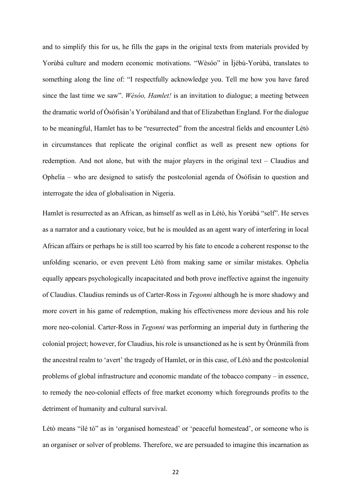and to simplify this for us, he fills the gaps in the original texts from materials provided by Yorùbá culture and modern economic motivations. "Wèsóo" in Ìjèbú-Yorùbá, translates to something along the line of: "I respectfully acknowledge you. Tell me how you have fared since the last time we saw". *Wèsóo, Hamlet!* is an invitation to dialogue; a meeting between the dramatic world of Òsófisán's Yorùbáland and that of Elizabethan England. For the dialogue to be meaningful, Hamlet has to be "resurrected" from the ancestral fields and encounter Létò in circumstances that replicate the original conflict as well as present new options for redemption. And not alone, but with the major players in the original text – Claudius and Ophelia – who are designed to satisfy the postcolonial agenda of  $\dot{O}$ sófisán to question and interrogate the idea of globalisation in Nigeria.

Hamlet is resurrected as an African, as himself as well as in Létò, his Yorùbá "self". He serves as a narrator and a cautionary voice, but he is moulded as an agent wary of interfering in local African affairs or perhaps he is still too scarred by his fate to encode a coherent response to the unfolding scenario, or even prevent Létò from making same or similar mistakes. Ophelia equally appears psychologically incapacitated and both prove ineffective against the ingenuity of Claudius. Claudius reminds us of Carter-Ross in *Tegonni* although he is more shadowy and more covert in his game of redemption, making his effectiveness more devious and his role more neo-colonial. Carter-Ross in *Tegonni* was performing an imperial duty in furthering the colonial project; however, for Claudius, his role is unsanctioned as he is sent by Òrúnmìlà from the ancestral realm to 'avert' the tragedy of Hamlet, or in this case, of Létò and the postcolonial problems of global infrastructure and economic mandate of the tobacco company – in essence, to remedy the neo-colonial effects of free market economy which foregrounds profits to the detriment of humanity and cultural survival.

Létò means "ilé tò" as in 'organised homestead' or 'peaceful homestead', or someone who is an organiser or solver of problems. Therefore, we are persuaded to imagine this incarnation as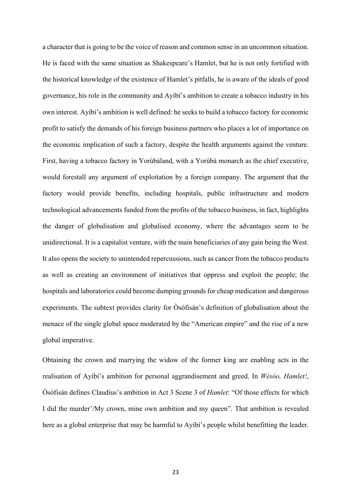a character that is going to be the voice of reason and common sense in an uncommon situation. He is faced with the same situation as Shakespeare's Hamlet, but he is not only fortified with the historical knowledge of the existence of Hamlet's pitfalls, he is aware of the ideals of good governance, his role in the community and Ayíbí's ambition to create a tobacco industry in his own interest. Ayíbí's ambition is well defined: he seeks to build a tobacco factory for economic profit to satisfy the demands of his foreign business partners who places a lot of importance on the economic implication of such a factory, despite the health arguments against the venture. First, having a tobacco factory in Yorùbáland, with a Yorùbá monarch as the chief executive, would forestall any argument of exploitation by a foreign company. The argument that the factory would provide benefits, including hospitals, public infrastructure and modern technological advancements funded from the profits of the tobacco business, in fact, highlights the danger of globalisation and globalised economy, where the advantages seem to be unidirectional. It is a capitalist venture, with the main beneficiaries of any gain being the West. It also opens the society to unintended repercussions, such as cancer from the tobacco products as well as creating an environment of initiatives that oppress and exploit the people; the hospitals and laboratories could become dumping grounds for cheap medication and dangerous experiments. The subtext provides clarity for  $\dot{O}$ sófisán's definition of globalisation about the menace of the single global space moderated by the "American empire" and the rise of a new global imperative.

Obtaining the crown and marrying the widow of the former king are enabling acts in the realisation of Ayíbí's ambition for personal aggrandisement and greed. In *Wèsóo, Hamlet!*, Òsófisán defines Claudius's ambition in Act 3 Scene 3 of *Hamlet*: "Of those effects for which I did the murder'/My crown, mine own ambition and my queen". That ambition is revealed here as a global enterprise that may be harmful to Ayíbí's people whilst benefitting the leader.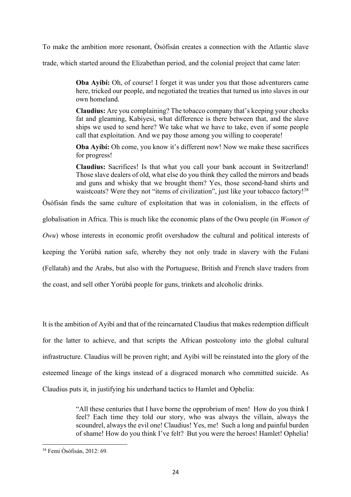To make the ambition more resonant, Òsófisán creates a connection with the Atlantic slave

trade, which started around the Elizabethan period, and the colonial project that came later:

**Oba Ayíbí:** Oh, of course! I forget it was under you that those adventurers came here, tricked our people, and negotiated the treaties that turned us into slaves in our own homeland.

**Claudius:** Are you complaining? The tobacco company that's keeping your cheeks fat and gleaming, Kabiyesi, what difference is there between that, and the slave ships we used to send here? We take what we have to take, even if some people call that exploitation. And we pay those among you willing to cooperate!

**Oba Ayíbí:** Oh come, you know it's different now! Now we make these sacrifices for progress!

**Claudius:** Sacrifices! Is that what you call your bank account in Switzerland! Those slave dealers of old, what else do you think they called the mirrors and beads and guns and whisky that we brought them? Yes, those second-hand shirts and waistcoats? Were they not "items of civilization", just like your tobacco factory!<sup>38</sup>

Òsófisán finds the same culture of exploitation that was in colonialism, in the effects of

globalisation in Africa. This is much like the economic plans of the Owu people (in *Women of* 

*Owu*) whose interests in economic profit overshadow the cultural and political interests of

keeping the Yorùbá nation safe, whereby they not only trade in slavery with the Fulani

(Fellatah) and the Arabs, but also with the Portuguese, British and French slave traders from

the coast, and sell other Yorùbá people for guns, trinkets and alcoholic drinks.

It is the ambition of Ayíbí and that of the reincarnated Claudius that makes redemption difficult for the latter to achieve, and that scripts the African postcolony into the global cultural infrastructure. Claudius will be proven right; and Ayíbí will be reinstated into the glory of the esteemed lineage of the kings instead of a disgraced monarch who committed suicide. As Claudius puts it, in justifying his underhand tactics to Hamlet and Ophelia:

> "All these centuries that I have borne the opprobrium of men! How do you think I feel? Each time they told our story, who was always the villain, always the scoundrel, always the evil one! Claudius! Yes, me! Such a long and painful burden of shame! How do you think I've felt? But you were the heroes! Hamlet! Ophelia!

<sup>38</sup> Femi Òsófisán, 2012: 69.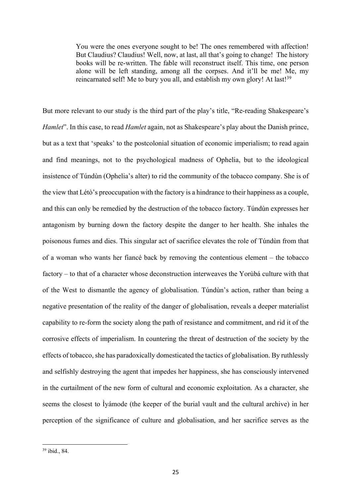You were the ones everyone sought to be! The ones remembered with affection! But Claudius? Claudius! Well, now, at last, all that's going to change! The history books will be re-written. The fable will reconstruct itself. This time, one person alone will be left standing, among all the corpses. And it'll be me! Me, my reincarnated self! Me to bury you all, and establish my own glory! At last!<sup>39</sup>

But more relevant to our study is the third part of the play's title, "Re-reading Shakespeare's *Hamlet*". In this case, to read *Hamlet* again, not as Shakespeare's play about the Danish prince, but as a text that 'speaks' to the postcolonial situation of economic imperialism; to read again and find meanings, not to the psychological madness of Ophelia, but to the ideological insistence of Túndùn (Ophelia's alter) to rid the community of the tobacco company. She is of the view that Létò's preoccupation with the factory is a hindrance to their happiness as a couple, and this can only be remedied by the destruction of the tobacco factory. Túndùn expresses her antagonism by burning down the factory despite the danger to her health. She inhales the poisonous fumes and dies. This singular act of sacrifice elevates the role of Túndùn from that of a woman who wants her fiancé back by removing the contentious element – the tobacco factory – to that of a character whose deconstruction interweaves the Yorùbá culture with that of the West to dismantle the agency of globalisation. Túndùn's action, rather than being a negative presentation of the reality of the danger of globalisation, reveals a deeper materialist capability to re-form the society along the path of resistance and commitment, and rid it of the corrosive effects of imperialism. In countering the threat of destruction of the society by the effects of tobacco, she has paradoxically domesticated the tactics of globalisation. By ruthlessly and selfishly destroying the agent that impedes her happiness, she has consciously intervened in the curtailment of the new form of cultural and economic exploitation. As a character, she seems the closest to Ìyámode (the keeper of the burial vault and the cultural archive) in her perception of the significance of culture and globalisation, and her sacrifice serves as the

 $39$  ibid., 84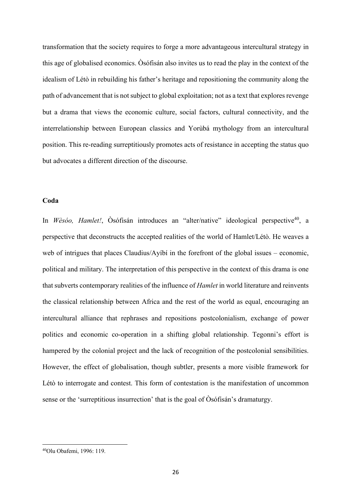transformation that the society requires to forge a more advantageous intercultural strategy in this age of globalised economics. Òsófisán also invites us to read the play in the context of the idealism of Létò in rebuilding his father's heritage and repositioning the community along the path of advancement that is not subject to global exploitation; not as a text that explores revenge but a drama that views the economic culture, social factors, cultural connectivity, and the interrelationship between European classics and Yorùbá mythology from an intercultural position. This re-reading surreptitiously promotes acts of resistance in accepting the status quo but advocates a different direction of the discourse.

#### **Coda**

In *Wèsóo, Hamlet!*, Òsófisán introduces an "alter/native" ideological perspective<sup>40</sup>, a perspective that deconstructs the accepted realities of the world of Hamlet/Létò. He weaves a web of intrigues that places Claudius/Ayibi in the forefront of the global issues – economic, political and military. The interpretation of this perspective in the context of this drama is one that subverts contemporary realities of the influence of *Hamlet* in world literature and reinvents the classical relationship between Africa and the rest of the world as equal, encouraging an intercultural alliance that rephrases and repositions postcolonialism, exchange of power politics and economic co-operation in a shifting global relationship. Tegonni's effort is hampered by the colonial project and the lack of recognition of the postcolonial sensibilities. However, the effect of globalisation, though subtler, presents a more visible framework for Létò to interrogate and contest. This form of contestation is the manifestation of uncommon sense or the 'surreptitious insurrection' that is the goal of Òsófisán's dramaturgy.

<sup>40</sup>Olu Obafemi, 1996: 119.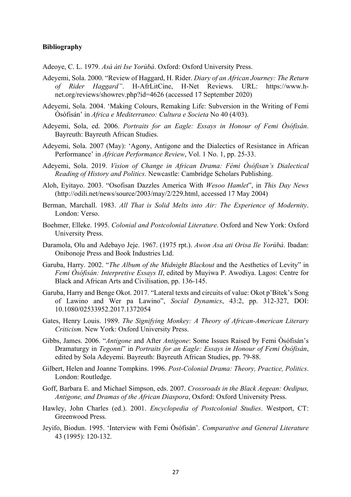## **Bibliography**

Adeoye, C. L. 1979. *Asà àti Ise Yorùbá*. Oxford: Oxford University Press.

- Adeyemi, Sola. 2000. "Review of Haggard, H. Rider. *Diary of an African Journey: The Return of Rider Haggard"*. H-AfrLitCine, H-Net Reviews. URL: https://www.hnet.org/reviews/showrev.php?id=4626 (accessed 17 September 2020)
- Adeyemi, Sola. 2004. 'Making Colours, Remaking Life: Subversion in the Writing of Femi Òsófisán' in *Africa e Mediterraneo: Cultura e Societa* No 40 (4/03).
- Adeyemi, Sola, ed. 2006. *Portraits for an Eagle: Essays in Honour of Femi Òsófisán*. Bayreuth: Bayreuth African Studies.
- Adeyemi, Sola. 2007 (May): 'Agony, Antigone and the Dialectics of Resistance in African Performance' in *African Performance Review*, Vol. 1 No. 1, pp. 25-33.
- Adeyemi, Sola. 2019. *Vision of Change in African Drama: Fémi Òsófisan's Dialectical Reading of History and Politics*. Newcastle: Cambridge Scholars Publishing.
- Aloh, Eyitayo. 2003. "Osofisan Dazzles America With *Wesoo Hamlet*", in *This Day News* (http://odili.net/news/source/2003/may/2/229.html, accessed 17 May 2004)
- Berman, Marchall. 1983. *All That is Solid Melts into Air: The Experience of Modernity*. London: Verso.
- Boehmer, Elleke. 1995. *Colonial and Postcolonial Literature*. Oxford and New York: Oxford University Press.
- Daramola, Olu and Adebayo Jeje. 1967. (1975 rpt.). *Awon Asa ati Orisa Ile Yorùbá*. Ibadan: Onibonoje Press and Book Industries Ltd.
- Garuba, Harry. 2002. "*The Album of the Midnight Blackout* and the Aesthetics of Levity" in *Femi Òsófisán: Interpretive Essays II*, edited by Muyiwa P. Awodiya. Lagos: Centre for Black and African Arts and Civilisation, pp. 136-145.
- Garuba, Harry and Benge Okot. 2017. "Lateral texts and circuits of value: Okot p'Bitek's Song of Lawino and Wer pa Lawino", *Social Dynamics*, 43:2, pp. 312-327, DOI: 10.1080/02533952.2017.1372054
- Gates, Henry Louis. 1989. *The Signifying Monkey: A Theory of African-American Literary Criticism*. New York: Oxford University Press.
- Gibbs, James. 2006. "*Antigone* and After *Antigone*: Some Issues Raised by Femi Òsófisán's Dramaturgy in *Tegonni*" in *Portraits for an Eagle: Essays in Honour of Femi Òsófisán*, edited by Sola Adeyemi. Bayreuth: Bayreuth African Studies, pp. 79-88.
- Gilbert, Helen and Joanne Tompkins. 1996. *Post-Colonial Drama: Theory, Practice, Politics*. London: Routledge.
- Goff, Barbara E. and Michael Simpson, eds. 2007. *Crossroads in the Black Aegean: Oedipus, Antigone, and Dramas of the African Diaspora*, Oxford: Oxford University Press.
- Hawley, John Charles (ed.). 2001. *Encyclopedia of Postcolonial Studies*. Westport, CT: Greenwood Press.
- Jeyifo, Biodun. 1995. 'Interview with Femi Òsófisán'. *Comparative and General Literature* 43 (1995): 120-132.